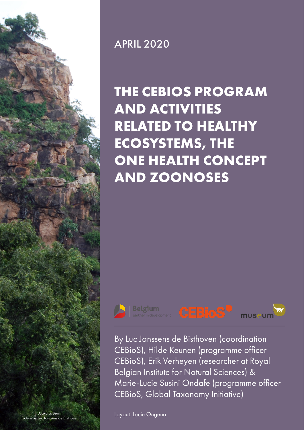

# APRIL 2020

# **THE CEBIOS PROGRAM AND ACTIVITIES RELATED TO HEALTHY ECOSYSTEMS, THE ONE HEALTH CONCEPT AND ZOONOSES**



**Belgium** 



By Luc Janssens de Bisthoven (coordination CEBioS), Hilde Keunen (programme officer CEBioS), Erik Verheyen (researcher at Royal Belgian Institute for Natural Sciences) & Marie-Lucie Susini Ondafe (programme officer CEBioS, Global Taxonomy Initiative)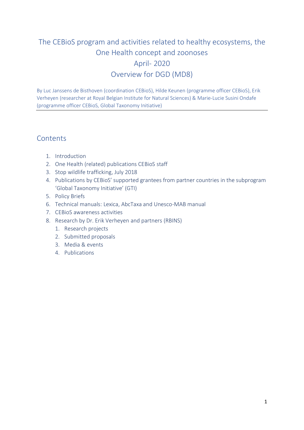# The CEBioS program and activities related to healthy ecosystems, the One Health concept and zoonoses April- 2020 Overview for DGD (MD8)

By Luc Janssens de Bisthoven (coordination CEBioS), Hilde Keunen (programme officer CEBioS), Erik Verheyen (researcher at Royal Belgian Institute for Natural Sciences) & Marie-Lucie Susini Ondafe (programme officer CEBioS, Global Taxonomy Initiative)

### **Contents**

- 1. Introduction
- 2. One Health (related) publications CEBioS staff
- 3. Stop wildlife trafficking, July 2018
- 4. Publications by CEBioS' supported grantees from partner countries in the subprogram 'Global Taxonomy Initiative' (GTI)
- 5. Policy Briefs
- 6. Technical manuals: Lexica, AbcTaxa and Unesco-MAB manual
- 7. CEBioS awareness activities
- 8. Research by Dr. Erik Verheyen and partners (RBINS)
	- 1. Research projects
	- 2. Submitted proposals
	- 3. Media & events
	- 4. Publications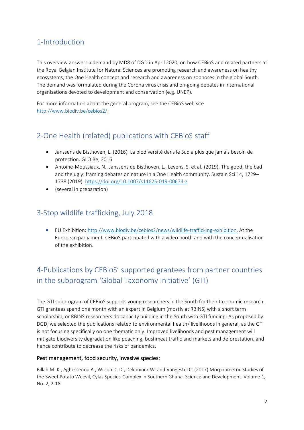# 1-Introduction

This overview answers a demand by MD8 of DGD in April 2020, on how CEBioS and related partners at the Royal Belgian Institute for Natural Sciences are promoting research and awareness on healthy ecosystems, the One Health concept and research and awareness on zoonoses in the global South. The demand was formulated during the Corona virus crisis and on-going debates in international organisations devoted to development and conservation (e.g. UNEP).

For more information about the general program, see the CEBioS web site [http://www.biodiv.be/cebios2/.](http://www.biodiv.be/cebios2/)

# 2-One Health (related) publications with CEBioS staff

- Janssens de Bisthoven, L. (2016). La biodiversité dans le Sud a plus que jamais besoin de protection. GLO.Be, 2016
- Antoine-Moussiaux, N., Janssens de Bisthoven, L., Leyens, S. et al. (2019). The good, the bad and the ugly: framing debates on nature in a One Health community. Sustain Sci 14, 1729– 1738 (2019).<https://doi.org/10.1007/s11625-019-00674-z>
- (several in preparation)

## 3-Stop wildlife trafficking, July 2018

• EU Exhibition[: http://www.biodiv.be/cebios2/news/wildlife-trafficking-exhibition.](http://www.biodiv.be/cebios2/news/wildlife-trafficking-exhibition) At the European parliament. CEBioS participated with a video booth and with the conceptualisation of the exhibition.

# 4-Publications by CEBioS' supported grantees from partner countries in the subprogram 'Global Taxonomy Initiative' (GTI)

The GTI subprogram of CEBioS supports young researchers in the South for their taxonomic research. GTI grantees spend one month with an expert in Belgium (mostly at RBINS) with a short term scholarship, or RBINS researchers do capacity building in the South with GTI funding. As proposed by DGD, we selected the publications related to environmental health/ livelihoods in general, as the GTI is not focusing specifically on one thematic only. Improved livelihoods and pest management will mitigate biodiversity degradation like poaching, bushmeat traffic and markets and deforestation, and hence contribute to decrease the risks of pandemics.

#### Pest management, food security, invasive species:

Billah M. K., Agbessenou A., Wilson D. D., Dekoninck W. and Vangestel C. (2017) Morphometric Studies of the Sweet Potato Weevil, Cylas Species-Complex in Southern Ghana. Science and Development. Volume 1, No. 2, 2-18.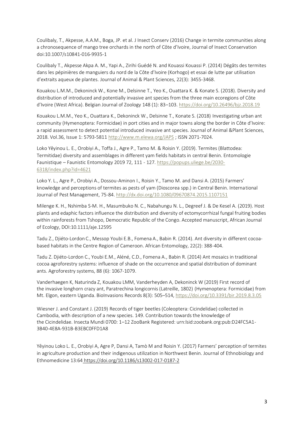Coulibaly, T., Akpesse, A.A.M., Boga, JP. et al. J Insect Conserv (2016) Change in termite communities along a chronosequence of mango tree orchards in the north of Côte d'Ivoire, Journal of Insect Conservation doi:10.1007/s10841-016-9935-1

Coulibaly T., Akpesse Akpa A. M., Yapi A., Zirihi Guédé N. and Kouassi Kouassi P. (2014) Dégâts des termites dans les pépinières de manguiers du nord de la Côte d'Ivoire (Korhogo) et essai de lutte par utilisation d'extraits aqueux de plantes. Journal of Animal & Plant Sciences, 22(3): 3455-3468.

Kouakou L.M.M., Dekoninck W., Kone M., Delsinne T., Yeo K., Ouattara K. & Konate S. (2018). Diversity and distribution of introduced and potentially invasive ant species from the three main ecoregions of Côte d'Ivoire (West Africa). Belgian Journal of Zoology 148 (1): 83–103. <https://doi.org/10.26496/bjz.2018.19>

Kouakou L.M.M., Yeo K., Ouattara K., Dekoninck W., Delsinne T., Konate S. (2018) Investigating urban ant community (Hymenoptera: Formicidae) in port cities and in major towns along the border in Côte d'Ivoire: a rapid assessment to detect potential introduced invasive ant species. Journal of Animal &Plant Sciences, 2018. Vol.36, Issue 1: 5793-5811 <http://www.m.elewa.org/JAPS> ; ISSN 2071-7024.

Loko Yêyinou L. E., Orobiyi A., Toffa J., Agre P., Tamo M. & Roisin Y. (2019). Termites (Blattodea: Termitidae) diversity and assemblages in different yam fields habitats in central Benin. Entomologie Faunistique – Faunistic Entomology 2019 72, 111 - 127. [https://popups.uliege.be/2030-](https://popups.uliege.be/2030-6318/index.php?id=4621) [6318/index.php?id=4621](https://popups.uliege.be/2030-6318/index.php?id=4621)

Loko Y. L., Agre P., Orobiyi A., Dossou-Aminon I., Roisin Y., Tamo M. and Dansi A. (2015) Farmers' knowledge and perceptions of termites as pests of yam (Dioscorea spp.) in Central Benin. International Journal of Pest Management, 75-84. <http://dx.doi.org/10.1080/09670874.2015.1107151>

Milenge K. H., Nshimba S-M. H., Masumbuko N. C., Nabahungu N. L., Degreef J. & De Kesel A. (2019). Host plants and edaphic factors influence the distribution and diversity of ectomycorrhizal fungal fruiting bodies within rainforests from Tshopo, Democratic Republic of the Congo. Accepted manuscript, African Journal of Ecology, DOI:10.1111/aje.12595

Tadu Z., Djiéto-Lordon C., Messop Youbi E.B., Fomena A., Babin R. (2014). Ant diversity in different cocoabased habitats in the Centre Region of Cameroon. African Entomology, 22(2): 388-404.

Tadu Z. Djiéto-Lordon C., Youbi E.M., Aléné, C.D., Fomena A., Babin R. (2014) Ant mosaics in traditional cocoa agroforestry systems: influence of shade on the occurrence and spatial distribution of dominant ants. Agroforestry systems, 88 (6): 1067-1079.

Vanderhaegen K, Naturinda Z, Kouakou LMM, Vanderheyden A, Dekoninck W (2019) First record of the invasive longhorn crazy ant, Paratrechina longicornis (Latreille, 1802) (Hymenoptera: Formicidae) from Mt. Elgon, eastern Uganda. BioInvasions Records 8(3): 505–514, <https://doi.org/10.3391/bir.2019.8.3.05>

Wiesner J. and Constant J. (2019) Records of tiger beetles (Coleoptera: Cicindelidae) collected in Cambodia, with description of a new species. 149. Contribution towards the knowledge of the Cicindelidae. Insecta Mundi 0700: 1–12 ZooBank Registered: urn:lsid:zoobank.org:pub:D24FC5A1- 3B40-4E8A-931B-B3EBC0FFD1A8

Yêyinou Loko L. E., Orobiyi A, Agre P, Dansi A, Tamò M and Roisin Y. (2017) Farmers' perception of termites in agriculture production and their indigenous utilization in Northwest Benin. Journal of Ethnobiology and Ethnomedicine 13:64 https://doi.org/10.1186/s13002-017-0187-2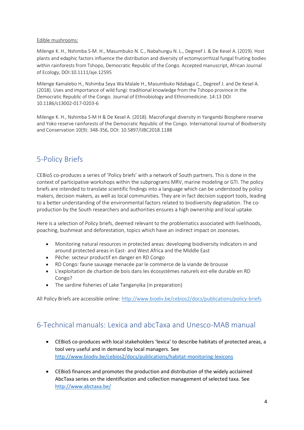#### Edible mushrooms:

Milenge K. H., Nshimba S-M. H., Masumbuko N. C., Nabahungu N. L., Degreef J. & De Kesel A. (2019). Host plants and edaphic factors influence the distribution and diversity of ectomycorrhizal fungal fruiting bodies within rainforests from Tshopo, Democratic Republic of the Congo. Accepted manuscript, African Journal of Ecology, DOI:10.1111/aje.12595

Milenge Kamalebo H., Nshimba Seya Wa Malale H., Masumbuko Ndabaga C., Degreef J. and De Kesel A. (2018). Uses and importance of wild fungi: traditional knowledge from the Tshopo province in the Democratic Republic of the Congo. Journal of Ethnobiology and Ethnomedicine. 14:13 DOI 10.1186/s13002-017-0203-6

Milenge K. H., Nshimba S-M H & De Kesel A. (2018). Macrofungal diversity in Yangambi Biosphere reserve and Yoko reserve rainforests of the Democratic Republic of the Congo. International Journal of Biodiversity and Conservation 10(9): 348-356, DOI: 10.5897/IJBC2018.1188

# 5-Policy Briefs

CEBioS co-produces a series of 'Policy briefs' with a network of South partners. This is done in the context of participative workshops within the subprograms MRV, marine modeling or GTI. The policy briefs are intended to translate scientific findings into a language which can be understood by policy makers, decision makers, as well as local communities. They are in fact decision support tools, leading to a better understanding of the environmental factors related to biodiversity degradation. The coproduction by the South researchers and authorities ensures a high ownership and local uptake.

Here is a selection of Policy briefs, deemed relevant to the problematics associated with livelihoods, poaching, bushmeat and deforestation, topics which have an indirect impact on zoonoses.

- Monitoring natural resources in protected areas: developing biodiversity indicators in and around protected areas in East- and West Africa and the Middle East
- [Pêche: secteur productif en danger en RD Congo](http://www.biodiv.be/cebios2/docs/publications/policy-briefs/mrv-call-2016/peche-secteur-productif-en-danger-en-rd-congo)
- [RD Congo: faune sauvage menacée par le commerce de la viande de brousse](http://www.biodiv.be/cebios2/docs/publications/policy-briefs/mrv-call-2016/rd-congo-faune-sauvage-menacee-par-le-commerce-de-la-viande-de-brousse)
- [L'exploitation de charbon de bois dans les écosystèmes naturels est-elle durable en RD](http://www.biodiv.be/cebios2/docs/publications/policy-briefs/mrv-call-2016/l-exploitation-de-charbon-de-bois-dans-les-ecosystemes-naturels-est-elle-durable)  [Congo?](http://www.biodiv.be/cebios2/docs/publications/policy-briefs/mrv-call-2016/l-exploitation-de-charbon-de-bois-dans-les-ecosystemes-naturels-est-elle-durable)
- The sardine fisheries of Lake Tanganyika (in preparation)

All Policy Briefs are accessible online:<http://www.biodiv.be/cebios2/docs/publications/policy-briefs>

# 6-Technical manuals: Lexica and abcTaxa and Unesco-MAB manual

- CEBioS co-produces with local stakeholders 'lexica' to describe habitats of protected areas, a tool very useful and in demand by local managers. See <http://www.biodiv.be/cebios2/docs/publications/habitat-monitoring-lexicons>
- CEBioS finances and promotes the production and distribution of the widely acclaimed AbcTaxa series on the identification and collection management of selected taxa. See <http://www.abctaxa.be/>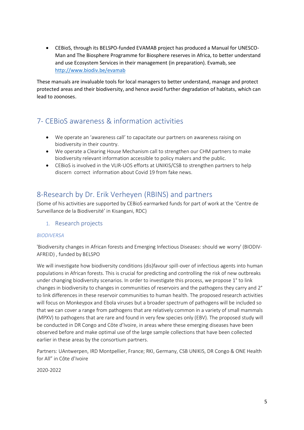• CEBioS, through its BELSPO-funded EVAMAB project has produced a Manual for UNESCO-Man and The Biosphere Programme for Biosphere reserves in Africa, to better understand and use Ecosystem Services in their management (in preparation). Evamab, see <http://www.biodiv.be/evamab>

These manuals are invaluable tools for local managers to better understand, manage and protect protected areas and their biodiversity, and hence avoid further degradation of habitats, which can lead to zoonoses.

# 7- CEBioS awareness & information activities

- We operate an 'awareness call' to capacitate our partners on awareness raising on biodiversity in their country.
- We operate a Clearing House Mechanism call to strengthen our CHM partners to make biodiversity relevant information accessible to policy makers and the public.
- CEBioS is involved in the VLIR-UOS efforts at UNIKIS/CSB to strengthen partners to help discern correct information about Covid 19 from fake news.

### 8-Research by Dr. Erik Verheyen (RBINS) and partners

(Some of his activities are supported by CEBioS earmarked funds for part of work at the 'Centre de Surveillance de la Biodiversité' in Kisangani, RDC)

#### 1. Research projects

#### *BIODIVERSA*

'Biodiversity changes in African forests and Emerging Infectious Diseases: should we worry' (BIODIV-AFREID) , funded by BELSPO

We will investigate how biodiversity conditions (dis)favour spill-over of infectious agents into human populations in African forests. This is crucial for predicting and controlling the risk of new outbreaks under changing biodiversity scenarios. In order to investigate this process, we propose 1° to link changes in biodiversity to changes in communities of reservoirs and the pathogens they carry and 2° to link differences in these reservoir communities to human health. The proposed research activities will focus on Monkeypox and Ebola viruses but a broader spectrum of pathogens will be included so that we can cover a range from pathogens that are relatively common in a variety of small mammals (MPXV) to pathogens that are rare and found in very few species only (EBV). The proposed study will be conducted in DR Congo and Côte d'Ivoire, in areas where these emerging diseases have been observed before and make optimal use of the large sample collections that have been collected earlier in these areas by the consortium partners.

Partners: UAntwerpen, IRD Montpellier, France; RKI, Germany, CSB UNIKIS, DR Congo & ONE Health for All" in Côte d'Ivoire

2020-2022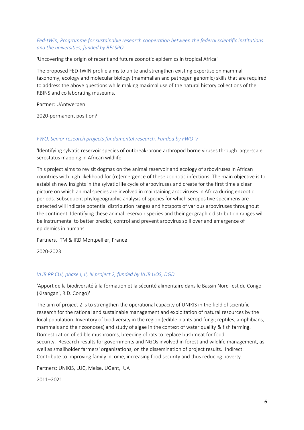#### *Fed-tWin, Programme for sustainable research cooperation between the federal scientific institutions and the universities, funded by BELSPO*

'Uncovering the origin of recent and future zoonotic epidemics in tropical Africa'

The proposed FED-tWIN profile aims to unite and strengthen existing expertise on mammal taxonomy, ecology and molecular biology (mammalian and pathogen genomic) skills that are required to address the above questions while making maximal use of the natural history collections of the RBINS and collaborating museums.

Partner: UAntwerpen

2020-permanent position?

#### *FWO, Senior research projects fundamental research. Funded by FWO-V*

'Identifying sylvatic reservoir species of outbreak-prone arthropod borne viruses through large-scale serostatus mapping in African wildlife'

This project aims to revisit dogmas on the animal reservoir and ecology of arboviruses in African countries with high likelihood for (re)emergence of these zoonotic infections. The main objective is to establish new insights in the sylvatic life cycle of arboviruses and create for the first time a clear picture on which animal species are involved in maintaining arboviruses in Africa during enzootic periods. Subsequent phylogeographic analysis of species for which seropositive specimens are detected will indicate potential distribution ranges and hotspots of various arboviruses throughout the continent. Identifying these animal reservoir species and their geographic distribution ranges will be instrumental to better predict, control and prevent arbovirus spill over and emergence of epidemics in humans.

Partners, ITM & IRD Montpellier, France

2020-2023

#### *VLIR PP CUI, phase I, II, III project 2, funded by VLIR UOS, DGD*

'Apport de la biodiversité à la formation et la sécurité alimentaire dans le Bassin Nord–est du Congo (Kisangani, R.D. Congo)'

The aim of project 2 is to strengthen the operational capacity of UNIKIS in the field of scientific research for the rational and sustainable management and exploitation of natural resources by the local population. Inventory of biodiversity in the region (edible plants and fungi; reptiles, amphibians, mammals and their zoonoses) and study of algae in the context of water quality & fish farming. Domestication of edible mushrooms, breeding of rats to replace bushmeat for food security. Research results for governments and NGOs involved in forest and wildlife management, as well as smallholder farmers' organizations, on the dissemination of project results. Indirect: Contribute to improving family income, increasing food security and thus reducing poverty.

Partners: UNIKIS, LUC, Meise, UGent, UA

2011–2021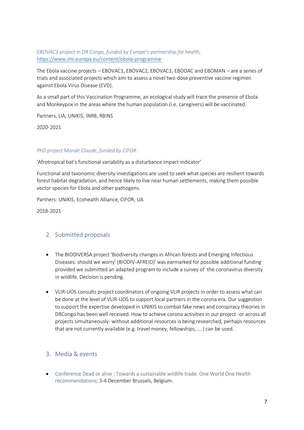#### *EBOVAC3 project in DR Congo, funded by Europe's partnership for health,* <https://www.imi.europa.eu/content/ebola-programme>

The Ebola vaccine projects – EBOVAC1, EBOVAC2, EBOVAC3, EBODAC and EBOMAN – are a series of trials and associated projects which aim to assess a novel two-dose preventive vaccine regimen against Ebola Virus Disease (EVD).

As a small part of this Vaccination Programme, an ecological study will trace the presence of Ebola and Monkeypox in the areas where the human population (i.e. caregivers) will be vaccinated.

Partners, UA, UNIKIS, INRB, RBINS

2020-2021

#### *PhD project Mande Claude, funded by CIFOR*

'Afrotropical bat's functional variability as a disturbance impact indicator'

Functional and taxonomic diversity investigations are used to seek what species are resilient towards forest habitat degradation, and hence likely to live near human settlements, making them possible vector species for Ebola and other pathogens.

Partners: UNIKIS, Ecohealth Alliance, CIFOR, UA

2018-2021

#### 2. Submitted proposals

- The BIODIVERSA project 'Biodiversity changes in African forests and Emerging Infectious Diseases: should we worry' (BIODIV-AFREID)' was earmarked for possible additional funding provided we submitted an adapted program to include a survey of the coronavirus diversity in wildlife. Decision is pending.
- VLIR-UOS consults project coordinators of ongoing VLIR projects in order to assess what can be done at the level of VLIR-UOS to support local partners in the corona era. Our suggestion to support the expertise developed in UNIKIS to combat fake news and conspiracy theories in DRCongo has been well received. How to achieve corona activities in our project -or across all projects simultaneously- without additional resources is being researched, perhaps resources that are not currently available (e.g. travel money, fellowships, ... ) can be used.

#### 3. Media & events

• Conference Dead or alive : Towards a sustainable wildlife trade. One World One Health recommendations; 3-4 December Brussels, Belgium.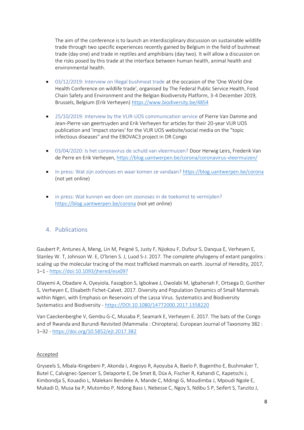The aim of the conference is to launch an interdisciplinary discussion on sustainable wildlife trade through two specific experiences recently gained by Belgium in the field of bushmeat trade (day one) and trade in reptiles and amphibians (day two). It will allow a discussion on the risks posed by this trade at the interface between human health, animal health and environmental health.

- 03/12/2019: Interview on Illegal bushmeat trade at the occasion of the 'One World One Health Conference on wildlife trade', organised by The Federal Public Service Health, Food Chain Safety and Environment and the Belgian Biodiversity Platform, 3-4 December 2019, Brussels, Belgium (Erik Verheyen)<https://www.biodiversity.be/4854>
- 25/10/2019: Interview by the VLIR-UOS communication service of Pierre Van Damme and Jean-Pierre van geertruyden and Erik Verheyen for articles for their 20-year VLIR UOS publication and 'impact stories' for the VLIR UOS website/social media on the "topic infectious diseases" and the EBOVAC3 project in DR Congo
- 03/04/2020: Is het coronavirus de schuld van vleermuizen? Door Herwig Leirs, Frederik Van de Perre en Erik Verheyen[, https://blog.uantwerpen.be/corona/coronavirus-vleermuizen/](https://blog.uantwerpen.be/corona/coronavirus-vleermuizen/)
- In press: Wat zijn zoönoses en waar komen ze vandaan? <https://blog.uantwerpen.be/corona> (not yet online)
- in press: Wat kunnen we doen om zoonoses in de toekomst te vermijden? <https://blog.uantwerpen.be/corona> (not yet online)

#### 4. Publications

Gaubert P, Antunes A, Meng, Lin M, Peigné S, Justy F, Njiokou F, Dufour S, Danqua E, Verheyen E, Stanley W. T, Johnson W. E, O'brien S. J, Luod S-J. 2017. The complete phylogeny of extant pangolins : scaling up the molecular tracing of the most trafficked mammals on earth. Journal of Heredity, 2017, 1–1 - <https://doi:10.1093/jhered/esx097>

Olayemi A, Obadare A, Oyeyiola, Fasogbon S, Igbokwe J, Owolabi M, Igbahenah F, Ortsega D, Gunther S, Verheyen E, Elisabeth Fichet-Calvet. 2017. Diversity and Population Dynamics of Small Mammals within Nigeri, with Emphasis on Reservoirs of the Lassa Virus. Systematics and Biodiversity Systematics and Biodiversity - [https://DOI.10.1080/14772000.2017.1358220](https://doi.10.1080/14772000.2017.1358220) 

Van Caeckenberghe V, Gembu G-C, Musaba P, Seamark E, Verheyen E. 2017. The bats of the Congo and of Rwanda and Burundi Revisited (Mammalia : Chiroptera). European Journal of Taxonomy 382 : 1–32 - <https://doi.org/10.5852/ejt.2017.382>

#### Accepted

Gryseels S, Mbala-Kingebeni P, Akonda I, Angoyo R, Ayoyuba A, Baelo P, Bugentho E, Bushmaker T, Butel C, Calvignec-Spencer S, Delaporte E, De Smet B, Düx A, Fischer R, Kahandi C, Kapetschi J, Kimbondja S, Kouadio L, Malekani Bendeke A, Mande C, Mdingi G, Moudimba J, Mpoudi Ngole E, Mukadi D, Musa ba P, Mutombo P, Ndong Bass I, Nebesse C, Ngoy S, Ndibu S P, Seifert S, Tanzito J,